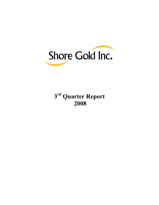

 **rd Quarter Report**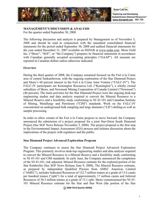

Shore Gold Inc.

*"Exploring and Developing Saskatchewan Diamond Resources"* **www.shoregold.comSGF: TSX**

## **MANAGEMENT'S DISCUSSION & ANALYSIS**

For the quarter ended September 30, 2008

The following discussion and analysis is prepared by Management as of November 5, 2008 and should be read in conjunction with the unaudited consolidated financial statements for the period ended September 30, 2008 and audited financial statements for the year ended December 31, 2007 available on SEDAR at www.sedar.com. Shore Gold Inc. ("Shore", "SGF", or "the Company") prepares its financial statements in accordance with Canadian generally accepted accounting principles ("GAAP"). All amounts are reported in Canadian dollars unless otherwise indicated.

## **Overview**

During the third quarter of 2008, the Company remained focused on the Fort à la Corne area of central Saskatchewan, with the ongoing exploration of the Star Diamond Project and Shore's 60 percent interest in the Fort à la Corne Joint Venture ("FALC-JV"). The FALC-JV participants are Kensington Resources Ltd. ("Kensington"), a wholly owned subsidiary of Shore, and Newmont Mining Corporation of Canada Limited ("Newmont") (40 percent). The main activities for the Star Diamond Project were the ongoing desk-top engineering studies and data analysis required to convert the Mineral Resource to a Mineral Reserve and a feasibility study conforming to NI 43-101 and Canadian Institute of Mining, Metallurgy and Petroleum ("CIM") standards. Work on the FALC-JV concentrated on underground bulk sampling and large diameter ("LD") drilling as well as sample processing.

In order to allow certain of the Fort à la Corne projects to move forward, the Company announced the submission of a project proposal for a joint Star-Orion South Diamond Project (See SGF News Release November 3, 2008). The project proposal is the first step in the Environmental Impact Assessment (EIA) process and initiates discussion about the implications of the project with regulators and the public.

## **Star Diamond Project Advanced Exploration Program**

The Company continues to assess the Star Diamond Project Advanced Exploration Program. This primarily involves desk-top engineering studies and data analysis required to convert the Mineral Resource to a Mineral Reserve and a feasibility study conforming to NI 43-101 and CIM standards. In early June, the Company announced the completion of the NI 43-101, risk adjusted, Mineral Resource estimate for the explored portion of the Star Kimberlite (See SGF News Release June 9, 2008). The Mineral Resource estimate, as prepared by independent Qualified Persons from AMEC Americas Limited ("AMEC"), includes Indicated Resources of 122.7 million tonnes at a grade of 13.6 carats per hundred tonnes ("cpht") for a total of approximately 17 million carats and Inferred Resources of 30.3 million tonnes at a grade of 13.1 cpht. Shore commissioned the NI 43- 101 Mineral Resource estimate for the Star and Star West (the portion of the Star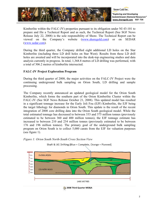

Kimberlite within the FALC-JV) properties pursuant to its obligation under NI 43-101 to prepare and file a Technical Report and as such, the Technical Report (See SGF News Release July 22, 2008) is the sole responsibility of Shore. The Technical Report can be viewed on the Company's website (www.shoregold.com) or on SEDAR (www.sedar.com).

During the third quarter, the Company drilled eight additional LD holes on the Star Kimberlite (including three LD drill holes on Star West). Results from these LD drill holes are awaited and will be incorporated into the desk-top engineering studies and data analysis currently in progress. In total, 1,368.8 metres of LD drilling was performed, with a total of 306.2 metres of kimberlite intersected.

# **FALC-JV Project Exploration Program**

During the third quarter of 2008, the major activities on the FALC-JV Project were the continuing underground bulk sampling on Orion South, LD drilling and sample processing.

The Company recently announced an updated geological model for the Orion South Kimberlite, which forms the southern part of the Orion Kimberlite Cluster within the FALC-JV (See SGF News Release October 21, 2008). This updated model has resulted in a significant tonnage increase for the Early Joli Fou (EJF) Kimberlite, the EJF being the target lithology for diamonds in Orion South. This update is the result of the recent integration of 2008 core drilling data into the Orion South geological model. While the total estimated tonnage has decreased to between 333 and 375 million tonnes (previously estimated to be between 360 and 400 million tonnes), the EJF tonnage estimate has increased to between 210 and 234 million tonnes (previously estimated to be between 176 and 196 million tonnes). The primary goal of the underground bulk sampling program on Orion South is to collect 5,000 carats from the EJF for valuation purposes (see figure 1).



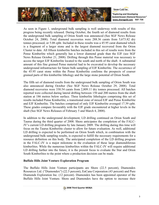

As seen in Figure 1, underground bulk sampling is well underway with results of this progress being recently released. During October, the fourth set of diamond results from the underground bulk sampling of Orion South was announced (See SGF News Release October 24, 2008). Total diamond recoveries were 288.36 carats from 5,673.82 dry tonnes processed, or 5.08 cpht. Included in these results was a 45.95 carat diamond which is a fragment of a larger stone and is the largest diamond recovered from the Orion Cluster to date. All fifteen kimberlite batches included in this set of results were from the Pense Kimberlite which generally has a lower diamond grade than the EJF (see SGF News Release October 21, 2008). Drifting through this Pense material was necessary to access the target EJF Kimberlite located to the south and north of the shaft. A substantial amount of this fine grained Pense material had to be excavated to develop the necessary underground infrastructure for future bulk sampling of EJF Kimberlite. The occurrence of the 45.95 carat stone within the Pense Kimberlite confirms the prospects of coarser grained parts of this kimberlite lithology and the large stone potential of Orion South.

The fifth set of diamond results from the underground bulk sampling of Orion South was also announced during October (See SGF News Release October 29, 2008). Total diamond recoveries were 330.54 carats from 2,809.11 dry tonnes processed. All batches reported were collected during lateral drifting between 150 and 200 metres from the shaft station at 186 metres below surface. Three kimberlite lithologies comprising this set of results included Pense Kimberlite, a transitional zone of mixed EJF and Pense Kimberlite and EJF Kimberlite. The batches comprised of only EJF Kimberlite averaged 17.39 cpht. These grades compare favourably with the EJF grade encountered at higher levels in the shaft (See SGF News Releases of February 5 and March 4, 2008).

In addition to the underground development, LD drilling continued on Orion South and Taurus during the third quarter of 2008. Shore anticipates the completion of the FALC-JV's current LD drilling programs by late January 2009. The drilling during this time will focus on the Taurus Kimberlite cluster to allow for future evaluation. As well, additional LD drilling is expected to be performed on Orion South which, in combination with the underground bulk sampling results, is expected to fulfill the necessary requirements for a resource definition on this body. The anticipated completion of the LD drilling program in the FALC-JV is a major milestone in the evaluation of these large diamondiferous kimberlites. While the numerous kimberlites within the FALC-JV will require additional LD drilling further into the future, it is the present focus to evaluate the Star and Orion South Kimberlites to the point where a production decision can be made.

## **Buffalo Hills Joint Venture Exploration Program**

The Buffalo Hills Joint Venture participants are Shore (22.5 percent), Diamondex Resources Ltd. ("Diamondex") (22.5 percent), EnCana Corporation (43 percent) and Pure Diamonds Exploration Inc. (12 percent). Diamondex has been appointed operator of the Buffalo Hills Joint Venture. Shore and Diamondex have the option to increase their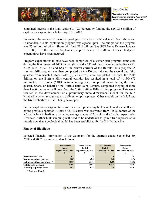

combined interest in the joint venture to 72.5 percent by funding the next \$15 million of exploration expenditures before April 30, 2010.

Following the review of historical geological data by a technical team from Shore and Diamondex, a 2008 exploration program was agreed upon. The budget for the program was \$7 million, of which Shore will fund \$3.5 million (See SGF News Release January 17, 2008). To the end of September, approximately \$5 million of these budgeted expenditures have been incurred.

Program expenditures to date have been comprised of a winter drill program completed during the first quarter of 2008 on two (K14 and K252) of the six kimberlite bodies (K91, K225, K14, K252, K6 and K5) of the central corridor of the Buffalo Hills property. A summer drill program was then completed on the K6 body during the second and third quarters from which thirteen holes (2,173 metres) were completed. To date, the 2008 drilling on the Buffalo Hills central corridor has resulted in a total of 41 PQ (75 millimetre) drill holes (6,818 metres) having been completed. Also during the third quarter, Shore, on behalf of the Buffalo Hills Joint Venture, completed logging of more than 1,600 metres of drill core from the 2008 Buffalo Hills drilling program. This work resulted in the development of a preliminary three dimensional model for the K14 Kimberlite which recognised six different eruptive phases. Other models on the K252 and the K6 Kimberlites are still being developed.

Further exploration expenditures were incurred processing bulk sample material collected by the previous operator. A total of 27.42 carats was recovered from 368.89 tonnes of the K6 and K14 Kimberlites, producing average grades of 7.0 cpht and 8.1 cpht respectively. However, further bulk sampling will need to be undertaken to gain a true representative sample now that a geological model has been established for the K14 Kimberlite.

## **Financial Highlights**

Selected financial information of the Company for the quarters ended September 30, 2008 and 2007 is summarized as follows:

|                                     | <b>Three Months</b><br><b>Ended</b><br><b>September 30, 2008</b> | <b>Three Months</b><br>Ended<br><b>September 30, 2007</b> | <b>Nine Months</b><br><b>Ended</b><br><b>September 30, 2008</b> | <b>Nine Months</b><br>Ended<br><b>September 30, 2007</b> |
|-------------------------------------|------------------------------------------------------------------|-----------------------------------------------------------|-----------------------------------------------------------------|----------------------------------------------------------|
| <b>Revenues</b> (millions)          | 0.3                                                              | 0.9                                                       | 1.4                                                             | 3.4                                                      |
| <b>Net income (loss)</b> (millions) | (0.8)                                                            | (2.4)                                                     | (5.8)                                                           | (4.8)                                                    |
| Net income (loss) per share $(1)$   | (0.00)                                                           | (0.01)                                                    | (0.03)                                                          | (0.03)                                                   |
| <b>Total assets</b> (millions)      | 814.5                                                            | 785.1                                                     | 814.5                                                           | 785.1                                                    |
| <b>Working capital</b> (millions)   | 27.3                                                             | 50.8                                                      | 27.3                                                            | 50.8                                                     |

**(1) Basic and diluted.** 

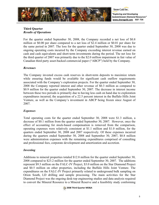

# **Third Quarter** *Results of Operations*

For the quarter ended September 30, 2008, the Company recorded a net loss of \$0.8 million or \$0.00 per share compared to a net loss of \$2.4 million or \$0.01 per share for the same period in 2007. The loss for the quarter ended September 30, 2008 was due to ongoing operating costs incurred by the Company exceeding interest revenue earned on cash and cash equivalents and short-term investments during the period. The net loss for the third quarter of 2007 was primarily due to the \$2.0 million impairment in fair value of Canadian third party asset-backed commercial paper ("ABCP") held by the Company.

# *Revenues*

The Company invested excess cash reserves in short-term deposits to maximize return while ensuring funds would be available for significant cash outflow requirements associated with the Company's exploration projects. For the quarter ended September 30, 2008 the Company reported interest and other revenue of \$0.3 million as compared to \$0.9 million for the quarter ended September 30, 2007. The decrease in interest income between these two periods is primarily due to having less cash on hand due to exploration expenditures incurred, the acquisition of a 22.5 percent interest in the Buffalo Hills Joint Venture, as well as the Company's investment in ABCP being frozen since August of 2007.

# *Expenses*

Total operating costs for the quarter ended September 30, 2008 were \$1.3 million, a decrease of \$0.1 million from the quarter ended September 30, 2007. However, once the effect of accounting for stock-based compensation is removed from the comparison, operating expenses were relatively consistent at \$1.1 million and \$1.0 million, for the quarters ended September 30, 2008 and 2007 respectively. Of these expenses incurred during the quarters ended September 30, 2008 and September 30, 2007, \$0.8 million were administration expenses with the remaining expenditures comprised of consulting and professional fees, corporate development and amortization and accretion.

# *Investing*

Additions to mineral properties totaled \$12.8 million for the quarter ended September 30, 2008 compared to \$23.2 million for the quarter ended September 30, 2007. The additions represent \$9.3 million on the FALC-JV Project, \$3.0 million on the Star Diamond Project and \$0.5 million on other properties, including the Buffalo Hills Joint Venture. The expenditures on the FALC-JV Project primarily related to underground bulk sampling on Orion South, LD drilling and sample processing. The main activities for the Star Diamond Project was the ongoing desk-top engineering studies and data analysis required to convert the Mineral Resource to a Mineral Reserve and a feasibility study conforming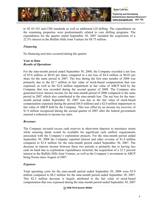

to NI 43-101 and CIM standards as well as additional LD drilling. The expenditures on the remaining properties were predominantly related to core drilling programs. The expenditures for the quarter ended September 30, 2007 included the acquisition of a 22.5% interest in the Buffalo Hills Joint Venture for \$8.75 million.

# *Financing*

No financing activities occurred during the quarter.

### **Year to Date** *Results of Operations*

For the nine-month period ended September 30, 2008, the Company recorded a net loss of \$5.8 million or \$0.03 per share compared to a net loss of \$4.8 million or \$0.03 per share for the same period in 2007. The loss during the first nine months of 2008 was primarily due to the \$2.7 million in fair value of stock-based compensation that was expensed, as well as the \$2.0 million impairment in fair value of ABCP held by the Company that was recorded during the second quarter of 2008. The Company also generated lower interest income for the nine-month period of 2008 compared to the same period in 2007 which also contributed to the nine-month loss. The net loss for the ninemonth period ended September 30, 2007 was due to the fair value of stock-based compensation expensed during the period (\$4.8 million) and a \$2.0 million impairment in fair value of ABCP held by the Company. This was offset by an income tax recovery of \$1.9 million recognized during the second quarter of 2007 after the federal government enacted a reduction to income tax rates.

## *Revenues*

The Company invested excess cash reserves in short-term deposits to maximize return while ensuring funds would be available for significant cash outflow requirements associated with the Company's exploration projects. For the nine-month period ended September 30, 2008 the Company reported interest and other revenue of \$1.4 million compared to \$3.4 million for the nine-month period ended September 30, 2007. The decrease in interest income between these two periods is primarily due to having less cash on hand due to exploration expenditures incurred, the acquisition of a 22.5 percent interest in the Buffalo Hills Joint Venture, as well as the Company's investment in ABCP being frozen since August of 2007.

# *Expenses*

Total operating costs for the nine-month period ended September 30, 2008 were \$5.9 million compared to \$8.2 million for the nine-month period ended September 30, 2007. This \$2.3 million decrease is largely attributed to the fair value of stock-based compensation that was expensed during the nine-month period ended September 30, 2007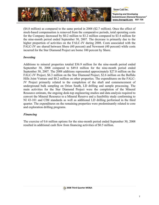

(\$4.8 million) as compared to the same period in 2008 (\$2.7 million). Once the effect of stock-based compensation is removed from the comparative periods, total operating costs for the Company decreased by \$0.2 million to \$3.2 million compared to \$3.4 million for the nine-month period ended September 30, 2007. The decrease is primarily due to the higher proportion of activities on the FALC-JV during 2008. Costs associated with the FALC-JV are shared between Shore (60 percent) and Newmont (40 percent) while costs incurred for the Star Diamond Project are borne 100 percent by Shore.

## *Investing*

Additions to mineral properties totaled \$36.9 million for the nine-month period ended September 30, 2008 compared to \$49.8 million for the nine-month period ended September 30, 2007. The 2008 additions represented approximately \$27.8 million on the FALC-JV Project, \$6.3 million on the Star Diamond Project, \$2.6 million on the Buffalo Hills Joint Venture and \$0.2 million on other properties. The expenditures on the FALC-JV Project primarily related to the completion of the shaft and commencement of underground bulk sampling on Orion South, LD drilling and sample processing. The main activities for the Star Diamond Project were the completion of the Mineral Resource estimate, the ongoing desk-top engineering studies and data analysis required to convert the Mineral Resource to a Mineral Reserve and a feasibility study conforming to NI 43-101 and CIM standards as well as additional LD drilling performed in the third quarter. The expenditures on the remaining properties were predominantly related to core and exploration drilling programs.

## *Financing*

The exercise of 0.6 million options for the nine-month period ended September 30, 2008 resulted in additional cash flow from financing activities of \$0.5 million.

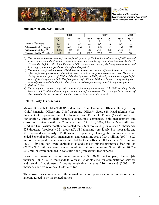

## **Summary of Quarterly Results**

|                                            |                       | 2008       |        | 2007  |        |       |        | 2006       |
|--------------------------------------------|-----------------------|------------|--------|-------|--------|-------|--------|------------|
|                                            | Qtr 3<br>$\mathbf{s}$ | Otr 2<br>S | Otr 1  | Otr 4 | Qtr 3  | Otr 2 | Qtr 1  | Qtr 4<br>S |
| Revenues <sup>(1)</sup> (millions)         | \$0.3                 | 0.4        | 0.7    | 0.6   | 0.9    | 1.2   |        | 1.7        |
| Net income (loss) $(2)$ (millions)         | (0.8)                 | (2.8)      | (2.2)  | 12.4  | (2.4)  | 1.7   | (4.2)  | (0.8)      |
| Net income (loss)/share (3)                | (0.00)                | (0.02)     | (0.01) | 0.06  | (0.01) | 0.01  | (0.02) | 0.00       |
| <b>Shares outstanding</b> $(4)$ (millions) | 183.2                 | 183.2      | 182.7  | 182.7 | .77.5  | .77.3 | 177.3  | 176.8      |

- *(1) The decline in interest revenue from the fourth quarter of 2006 to the third quarter of 2008 resulted from a reduction in the Company's investment base after completing acquisitions involving the FALC-JV and the Buffalo Hills Joint Venture, ABCP not accruing interest, declining interest rates and incurring exploration expenditures throughout this period.*
- *(2) The second and fourth quarters of 2007 had net income as a result of future income tax recoveries after the federal government substantively enacted reduced corporate income tax rates. The net loss during the second quarter of 2008 and the third quarter of 2007 primarily related to changes in fair value of the Company's ABCP. The first quarters of 2008 and 2007 saw increases in operating costs primarily associated with the fair value of stock-based compensation granted during those quarters.*
- *(3) Basic and diluted.*
- *(4) The Company completed a private placement financing on November 23, 2007 resulting in the issuance of 4.76 million flow-through common shares from treasury. Other changes in the number of shares outstanding are the result of option exercises in the respective periods.*

## **Related Party Transactions**

Messrs. Kenneth E. MacNeill (President and Chief Executive Officer), Harvey J. Bay (Chief Financial Officer and Chief Operating Officer), George H. Read (Senior Vice-President of Exploration and Development) and Pieter Du Plessis (Vice-President of Exploration), through their respective consulting companies, hold management and consulting contracts with the Company. As of April 1, 2008, Messrs. MacNeill, Bay, Read and Du Plessis's monthly contracted fee is \$30 thousand (previously \$27 thousand), \$23 thousand (previously \$21 thousand), \$18 thousand (previously \$16 thousand), and \$16 thousand (previously \$15 thousand), respectively. During the nine-month period ended September 30, 2008, management and consulting fees of \$0.8 million (2007 – \$0.7 million) were paid to companies controlled by these officers. Of these fees, \$0.1 million  $(2007 - $0.1$  million) were capitalized as additions to mineral properties; \$0.3 million  $(2007 - $0.3$  million) were included in administration expense and \$0.4 million  $(2007 - $0.3)$ \$0.3 million) were included in consulting and professional fees expense.

During the nine-month period ended September 30, 2008, the Company charged \$49 thousand (2007 – \$314 thousand) to Wescan Goldfields Inc. for administration services and rental of equipment. Accounts receivable includes \$10 thousand (2007 – \$2 thousand) due from Wescan Goldfields Inc.

The above transactions were in the normal course of operations and are measured at an amount agreed to by the related parties.

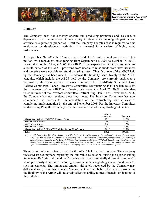

# **Liquidity**

The Company does not currently operate any producing properties and, as such, is dependent upon the issuance of new equity to finance its ongoing obligations and advance its exploration properties. Until the Company's surplus cash is required to fund exploration or development activities it is invested in a variety of highly rated instruments.

At September 30, 2008 the Company also held ABCP with a total par value of \$19 million, with repayment dates ranging from September 14, 2007 to October 15, 2007. During the month of August 2007, the ABCP market experienced liquidity problems. As a result, certain of the ABCP programs were unable to raise funds from new issuances and therefore were not able to refund maturing notes. Thus far, none of the ABCP held by the Company has been repaid. To address the liquidity issue, twenty of the ABCP conduits, which include the ABCP held by the Company, are currently subject to a proposal by the Pan-Canadian Investors Committee for Third-Party Structured Asset Backed Commercial Paper ("Investors Committee Restructuring Plan") which calls for the conversion of the ABCP into floating rate notes. On April 25, 2008, noteholders voted in favour of the Investors Committee Restructuring Plan. As of November 5, 2008, the Company has not received these new notes. The Investors Committee has now commenced the process for implementation of the restructuring with a view of completing implementation by the end of November 2008. Per the Investors Committee Restructuring Plan, the Company expects to receive the following floating rate notes:

|                                                                  | <b>Dollars</b><br>(Smillions) | Percent   |
|------------------------------------------------------------------|-------------------------------|-----------|
| Master Asset Vehicle2 ("MAV2") Class A-1 Notes                   | \$7.5                         | 39.5%     |
| <b>MAV2 Class A-2 Notes</b>                                      | \$5.6                         | 29.4%     |
| <b>MAV2 Class B Notes</b>                                        | \$1.0                         | 5.3%      |
| <b>MAV2 Class C Notes</b>                                        | \$0.4                         | $2.1\%$   |
| Master Asset Vehicle 3 ("MAV3") Traditional Asset, Class 5 Notes | \$4.5                         | 23.7%     |
| Total                                                            | \$19.0                        | $100.0\%$ |

*(1) MAV3, Class 5 Tracking Notes (comprised of Gemini Series A) will be supported by traditional securitized (non-synthetic) assets and, per the Investors Committee Restructuring Plan, will be restructured separately from other trusts, maintaining its separate assets. According to the April 18, 2008 Monitor's Report, on April 16, 2008 HSBC Canada repurchased assets from Gemini Series A (constituting 93% of the traditional securitized assets in this trust). As a result, the Company estimates that, after this transaction, approximately 99% of the underlying assets in Gemini Series A are comprised of cash.*

There is currently no active market for the ABCP held by the Company. The Company reviewed its assumptions regarding the fair value calculation during the quarter ending September 30, 2008 and found the fair value not to be substantially different from the fair value previously determined factoring in available data regarding market conditions for such investments. The timing and amount ultimately recovered by the Company may differ materially from this estimate. Management does not believe the events surrounding the liquidity of the ABCP will adversely affect its ability to meet financial obligations as they fall due.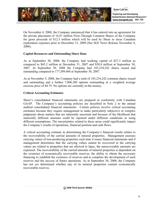

On November 4, 2008, the Company announced that it has entered into an agreement for the private placement of 16.67 million Flow-Through Common Shares of the Company for gross proceeds of \$12.5 million which will be used by Shore to incur Canadian exploration expenses prior to December 31, 2009 (See SGF News Release November 4, 2008).

## **Capital Resources and Outstanding Share Data**

As at September 30, 2008, the Company had working capital of \$27.3 million as compared to \$65.2 million at December 31, 2007 and \$50.8 million at September 30, 2007. At September 30, 2008 the Company had 183,234,242 shares issued and outstanding compared to 177,509,460 at September 30, 2007.

As at November 5, 2008, the Company had a total of 183,234,242 common shares issued and outstanding and a further 7,806,360 options outstanding at a weighted average exercise price of \$4.79. No options are currently in-the-money.

## **Critical Accounting Estimates**

Shore's consolidated financial statements are prepared in conformity with Canadian GAAP. The Company's accounting policies are described in Note 2 to the annual audited consolidated financial statements. Certain policies involve critical accounting estimates because they require management to make particularly subjective or complex judgments about matters that are inherently uncertain and because of the likelihood that materially different amounts could be reported under different conditions or using different assumptions. The uncertainties related to these areas could significantly impact the Company's results of operations, financial position and cash flows.

A critical accounting estimate in determining the Company's financial results relates to the recoverability of the carried amounts of mineral properties. Management assesses carrying values of non-producing properties each time it issues financial statements and if management determines that the carrying values cannot be recovered or the carrying values are related to properties that are allowed to lapse, the unrecoverable amounts are expensed. The recoverability of the carried amounts of mineral properties is dependent on the existence of economically recoverable reserves, the ability to obtain the necessary financing to establish the existence of reserves and to complete the development of such reserves and the success of future operations. As at September 30, 2008, the Company has not yet determined whether any of its mineral properties contain economically recoverable reserves.

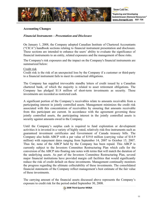

### **Accounting Changes**

### *Financial Instruments – Presentation and Disclosure*

On January 1, 2008, the Company adopted Canadian Institute of Chartered Accountants ("CICA") handbook sections relating to financial instrument presentation and disclosure. These sections are intended to enhance the users' ability to evaluate the significance of financial instruments to an entity, related exposures and the management of these risks.

The Company's risk exposures and the impact on the Company's financial instruments are summarized below:

### Credit risk

Credit risk is the risk of an unexpected loss by the Company if a customer or third-party to a financial instrument fails to meet its contractual obligations.

The Company has supplied irrevocable standby letters of credit issued by a Canadian chartered bank, of which the majority is related to asset retirement obligations. The Company has pledged \$1.8 million of short-term investments as security. These investments are recorded as restricted cash.

A significant portion of the Company's receivables relate to amounts receivable from a participating interest in jointly controlled assets. Management minimizes the credit risk associated with this concentration of receivables by ensuring that amounts receivable from this participant are current. In accordance with the agreement governing these jointly controlled assets, the participating interest in the jointly controlled assets is security against amounts owed to the Company.

Until the Company's surplus cash is required to fund exploration or development activities it is invested in a variety of highly rated, relatively risk-free instruments such as guaranteed investment certificates and Government of Canada treasury bills. The Company also holds ABCP with a par value of \$19.0 million (carrying value of \$14.9 million) with repayment dates ranging from September 14, 2007 to October 15, 2007. Thus far, none of the ABCP held by the Company has been repaid. This ABCP is currently subject to the Investors Committee Restructuring Plan which calls for the conversion of the ABCP into floating rate notes with terms that will match the duration of the underlying assets. As part of the Investors Committee Restructuring Plan, several major financial institutions have provided margin call facilities that would significantly reduce the risk of credit default on these investments. Management continually monitors the progress regarding the ultimate collectability of these investments. The consolidated financial statements of the Company reflect management's best estimate of the fair value of these investments.

The carrying amount of the financial assets discussed above represents the Company's exposure to credit risk for the period ended September 30, 2008.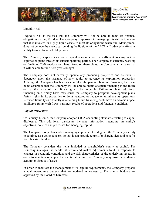

# Liquidity risk

Liquidity risk is the risk that the Company will not be able to meet its financial obligations as they fall due. The Company's approach to managing this risk is to ensure that it is invested in highly liquid assets to meet its obligations when due. Management does not believe the events surrounding the liquidity of the ABCP will adversely affect its ability to meet financial obligations.

The Company expects its current capital resources will be sufficient to carry out its exploration plans through its current operating period. The Company is currently working on finalizing 2009 exploration plans. Based on these plans, the Company anticipates that it will be able to fund next year's budget.

The Company does not currently operate any producing properties and as such, is dependent upon the issuance of new equity to advance its exploration properties. Although the Company has been successful in the past in obtaining financing, there can be no assurance that the Company will be able to obtain adequate financing in the future or that the terms of such financing will be favorable. Failure to obtain additional financing on a timely basis may cause the Company to postpone development plans, forfeit rights in its properties or joint ventures or reduce or terminate its operations. Reduced liquidity or difficulty in obtaining future financing could have an adverse impact on Shore's future cash flows, earnings, results of operations and financial condition.

# *Capital Disclosures*

On January 1, 2008, the Company adopted CICA accounting standards relating to capital disclosure. This additional disclosure includes information regarding an entity's objectives, policies and processes for managing capital.

The Company's objectives when managing capital are to safeguard the Company's ability to continue as a going concern, so that it can provide returns for shareholders and benefits for other stakeholders.

The Company considers the items included in shareholder's equity as capital. The Company manages the capital structure and makes adjustments to it in response to changes in economic conditions and the risk characteristics of the underlying assets. In order to maintain or adjust the capital structure, the Company may issue new shares, acquire or dispose of assets.

In order to facilitate the management of its capital requirements, the Company prepares annual expenditure budgets that are updated as necessary. The annual budgets are approved by the Board of Directors.

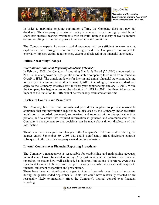

In order to maximize ongoing exploration efforts, the Company does not pay out dividends. The Company's investment policy is to invest its cash in highly rated liquid short-term interest-bearing investments with an initial term to maturity of twelve months or less, resulting in minimal exposure to interest rate and credit risk.

The Company expects its current capital resources will be sufficient to carry out its exploration plans through its current operating period. The Company is not subject to externally imposed capital requirements, except as disclosed in the financial statements.

## **Future Accounting Changes**

## *International Financial Reporting Standards ("IFRS")*

In February 2008, the Canadian Accounting Standards Board ("AcSB") announced that 2011 is the changeover date for public accountable companies to convert from Canadian GAAP to IFRS. The transition date is for interim and annual financial statements relating to fiscal years beginning on or after January 1, 2011. Accordingly, this new standard will apply to the Company effective for the fiscal year commencing January 1, 2011. While the Company has begun assessing the adoption of IFRS for 2011, the financial reporting impact of the transition to IFRS cannot be reasonably estimated at this time.

## **Disclosure Controls and Procedures**

The Company has disclosure controls and procedures in place to provide reasonable assurance that any information required to be disclosed by the Company under securities legislation is recorded, processed, summarized and reported within the applicable time periods, and to ensure that required information is gathered and communicated to the Company's management so that decisions can be made about timely disclosure of that information.

There have been no significant changes in the Company's disclosure controls during the quarter ended September 30, 2008 that could significantly affect disclosure controls subsequent to the date the Company carried out its evaluation.

## **Internal Controls over Financial Reporting Procedures**

The Company's management is responsible for establishing and maintaining adequate internal control over financial reporting. Any system of internal control over financial reporting, no matter how well designed, has inherent limitations. Therefore, even those systems determined to be effective can provide only reasonable assurance with respect to financial statement preparation and presentation.

There have been no significant changes to internal controls over financial reporting during the quarter ended September 30, 2008 that could have materially affected or are reasonably likely to materially affect the Company's internal control over financial reporting.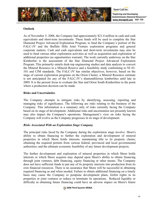

## **Outlook**

As of November 5, 2008, the Company had approximately \$21.4 million in cash and cash equivalents and short-term investments. These funds will be used to complete the Star Diamond Project Advanced Exploration Program, to fund the Company's portion of the FALC-JV and the Buffalo Hills Joint Venture exploration programs and general corporate matters. Cash and cash equivalents and short-term investments may also be used to fund various other exploration activities as well as acquisition and exploration of additional properties (as opportunities warrant). The work currently underway on the Star Kimberlite is the assessment of the Star Diamond Project Advanced Exploration Program. This primarily entails desk-top engineering studies and data analysis to convert the Mineral Resource to a Mineral Reserve and a feasibility study conforming to NI 43- 101 and CIM standards. The FALC-JV has similar objectives; however, based on the stage of current exploration programs on the Orion Cluster, a Mineral Resource estimate is not anticipated for any of the FALC-JV's diamondiferous kimberlites until late in 2009. It is the present focus to evaluate the Star and Orion South Kimberlites to the point where a production decision can be made.

## **Risks and Uncertainties**

The Company attempts to mitigate risks by identifying, assessing, reporting and managing risks of significance. The following are risks relating to the business of the Company. This information is a summary only of risks currently facing the Company based on its stage of development. Additional risks and uncertainties not presently known may also impact the Company's operations. Management's view on risks facing the Company will evolve as the Company progresses in its stage of development.

## *Risks Associated With an Exploration Stage Company*

The principal risks faced by the Company during the exploration stage involve: Shore's ability to obtain financing to further the exploration and development of mineral properties in which Shore holds interests; maintaining title to its property claims; obtaining the required permits from various federal, provincial and local governmental authorities; and the ultimate economic feasibility of any future development projects.

The further development and exploration of mineral properties in which Shore holds interests or which Shore acquires may depend upon Shore's ability to obtain financing through joint ventures, debt financing, equity financing or other means. The Company does not have sufficient funds to put any of its property interests into production from its own financial resources. There is no assurance that Shore will be successful in obtaining required financing as and when needed. Failure to obtain additional financing on a timely basis may cause the Company to postpone development plans, forfeit rights in its properties or joint ventures or reduce or terminate its operations. Reduced liquidity or difficulty in obtaining future financing could have an adverse impact on Shore's future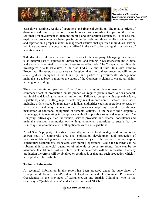

cash flows, earnings, results of operations and financial condition. The relative prices of diamonds and future expectations for such prices have a significant impact on the market sentiment for investment in diamond mining and exploration companies. To ensure that exploration procedures are being performed effectively and those results are interpreted and reported in a proper manner, management ensures that qualified individuals, service providers and external consultants are utilized in the verification and quality assurance of analytical results.

Title disputes could have adverse consequences to the Company. Managing these issues is an integral part of exploration, development and mining in Saskatchewan and Alberta and Shore is committed to managing these issues effectively. The Company has diligently investigated title to its claims in the Star, FALC-JV and Buffalo Hills Joint Venture Properties. However, no assurance can be given that title to these properties will not be challenged or impugned in the future by third parties or governments. Management maintains a database to monitor the status of the Company's claims to ensure all claims are in good standing.

The current or future operations of the Company, including development activities and commencement of production on its properties, require permits from various federal, provincial and local governmental authorities. Failure to comply with applicable laws, regulations, and permitting requirements may result in enforcement actions thereunder, including orders issued by regulatory or judicial authorities causing operations to cease or be curtailed and may include corrective measures requiring capital expenditures, installation of additional equipment, or remedial actions. To the best of the Company's knowledge, it is operating in compliance with all applicable rules and regulations. The Company utilizes qualified individuals, service providers and external consultants and maintains constant communications with governmental authorities to ensure that the Company is in compliance with all applicable rules and regulations.

All of Shore's property interests are currently in the exploration stage and are without a known body of commercial ore. The exploration, development and production of precious metals and gems are capital-intensive, subject to the normal risks and capital expenditure requirements associated with mining operations. While the rewards can be substantial if commercial quantities of minerals or gems are found, there can be no assurance that Shore's past or future exploration efforts will be successful, that any production therefrom will be obtained or continued, or that any such production which is attempted will be profitable.

## **Technical Information**

All technical information in this report has been prepared under the supervision of George Read, Senior Vice-President of Exploration and Development, Professional Geoscientist in the Provinces of Saskatchewan and British Columbia, who is the Company's "Qualified Person" under the definition of NI 43-101.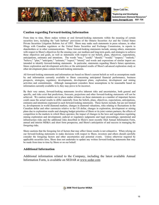

Shore Gold Inc.

*"Exploring and Developing Saskatchewan Diamond Resources"* **www.shoregold.comSGF: TSX**

### **Caution regarding Forward-looking Information**

From time to time, Shore makes written or oral forward-looking statements within the meaning of certain securities laws, including the "safe harbour" provisions of the Ontario Securities Act and the United States Private Securities Litigation Reform Act of 1995. Shore may make such statements in press releases, in other filings with Canadian regulators or the United States Securities and Exchange Commission, in reports to shareholders or in other communications. These forward-looking statements include, among others, statements with respect to Shore's objectives for the ensuing year, our medium and long-term goals, and strategies to achieve those objectives and goals, as well as statements with respect to our beliefs, plans, objectives, expectations, anticipations, estimates and intentions. The words "may," "could," "should," "would," "suspect," "outlook," "believe," "plan," "anticipate," "estimate," "expect," "intend," and words and expressions of similar import are intended to identify forward-looking statements. In particular, statements regarding Shore's future operations, future exploration and development activities or the anticipated results of Shore's advanced exploration study or other development plans contain forward-looking statements.

All forward-looking statements and information are based on Shore's current beliefs as well as assumptions made by and information currently available to Shore concerning anticipated financial performance, business prospects, strategies, regulatory developments, development plans, exploration, development and mining activities and commitments. Although management considers these assumptions to be reasonable based on information currently available to it, they may prove to be incorrect.

By their very nature, forward-looking statements involve inherent risks and uncertainties, both general and specific, and risks exist that predictions, forecasts, projections and other forward-looking statements will not be achieved. We caution readers not to place undue reliance on these statements as a number of important factors could cause the actual results to differ materially from the beliefs, plans, objectives, expectations, anticipations, estimates and intentions expressed in such forward-looking statements. These factors include, but are not limited to, developments in world diamond markets, changes in diamond valuations, risks relating to fluctuations in the Canadian dollar and other currencies relative to the US dollar, changes in exploration, development or mining plans due to exploration results and changing budget priorities of Shore or its joint venture partners; the effects of competition in the markets in which Shore operates; the impact of changes in the laws and regulations regulating mining exploration and development; judicial or regulatory judgments and legal proceedings; operational and infrastructure risks and the additional risks described in Shore's most recently filed Annual Information Form, annual and interim MD&A and short form prospectus, and Shore's anticipation of and success in managing the foregoing risks.

Shore cautions that the foregoing list of factors that may affect future results is not exhaustive. When relying on our forward-looking statements to make decisions with respect to Shore, investors and others should carefully consider the foregoing factors and other uncertainties and potential events. Unless otherwise required by applicable securities laws, Shore does not undertake to update any written forward-looking statements that may be made from time to time by Shore or on our behalf.

### **Additional Information**

Additional information related to the Company, including the latest available Annual Information Form, is available on SEDAR at www.sedar.com

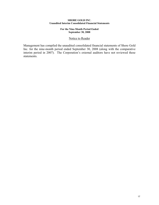### **SHORE GOLD INC. Unaudited Interim Consolidated Financial Statements**

### **For the Nine-Month Period Ended September 30, 2008**

### Notice to Reader

Management has compiled the unaudited consolidated financial statements of Shore Gold Inc. for the nine-month period ended September 30, 2008 (along with the comparative interim period in 2007). The Corporation's external auditors have not reviewed these statements.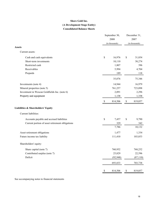## **Consolidated Balance Sheets Shore Gold Inc. (A Development Stage Entity)**

|                                                 | September 30,<br>2008<br>(in thousands) |           | December 31,<br>2007<br>(in thousands) |           |  |
|-------------------------------------------------|-----------------------------------------|-----------|----------------------------------------|-----------|--|
| <b>Assets</b>                                   |                                         |           |                                        |           |  |
| Current assets:                                 |                                         |           |                                        |           |  |
| Cash and cash equivalents                       | \$                                      | 16,976    | $\$$                                   | 31,854    |  |
| Short-term investments                          |                                         | 10,110    |                                        | 38,274    |  |
| Restricted cash                                 |                                         | 1,807     |                                        | 396       |  |
| Receivables                                     |                                         | 5,994     |                                        | 4,704     |  |
| Prepaids                                        |                                         | 189       |                                        | 118       |  |
|                                                 |                                         | 35,076    |                                        | 75,346    |  |
| Investments (note 4)                            |                                         | 14,944    |                                        | 16,979    |  |
| Mineral properties (note 5)                     |                                         | 761,257   |                                        | 723,098   |  |
| Investment in Wescan Goldfields Inc. (note 6)   |                                         | 2,091     |                                        | 2,296     |  |
| Property and equipment                          |                                         | 1,138     |                                        | 1,338     |  |
|                                                 | $\boldsymbol{\mathsf{S}}$               | 814,506   | \$                                     | 819,057   |  |
| Liabilities & Shareholders' Equity              |                                         |           |                                        |           |  |
| Current liabilities:                            |                                         |           |                                        |           |  |
| Accounts payable and accrued liabilities        | \$                                      | 7,457     | $\$$                                   | 9,790     |  |
| Current portion of asset retirement obligations |                                         | 329       |                                        | 342       |  |
|                                                 |                                         | 7,786     |                                        | 10,132    |  |
| Asset retirement obligations                    |                                         | 1,477     |                                        | 1,334     |  |
| Future income tax liability                     |                                         | 111,410   |                                        | 103,853   |  |
| Shareholders' equity:                           |                                         |           |                                        |           |  |
| Share capital (note 7)                          |                                         | 760,952   |                                        | 768,252   |  |
| Contributed surplus (note 7)                    |                                         | 25,829    |                                        | 22,596    |  |
| Deficit                                         |                                         | (92, 948) |                                        | (87, 110) |  |
|                                                 |                                         | 693,833   |                                        | 703,738   |  |
|                                                 | $\$$                                    | 814,506   | $\$$                                   | 819,057   |  |

See accompanying notes to financial statements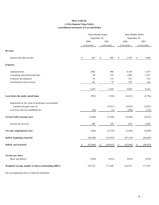### **Shore Gold Inc. (A Development Stage Entity) Consolidated Statements of Loss and Deficit**

|                                                       | Three Months Ended<br>September 30, |    |                |                | Nine Months Ended<br>September 30, |                |           |  |
|-------------------------------------------------------|-------------------------------------|----|----------------|----------------|------------------------------------|----------------|-----------|--|
|                                                       | 2008                                |    | 2007           |                | 2008                               |                | 2007      |  |
|                                                       | (in thousands)                      |    | (in thousands) | (in thousands) |                                    | (in thousands) |           |  |
| Revenue                                               |                                     |    |                |                |                                    |                |           |  |
| Interest and other income                             | \$<br>307                           | \$ | 896            | $\mathbb{S}$   | 1,399                              | \$             | 3,408     |  |
| <b>Expenses</b>                                       |                                     |    |                |                |                                    |                |           |  |
| Administration                                        | 1,002                               |    | 946            |                | 4,104                              |                | 5,335     |  |
| Consulting and professional fees                      | 98                                  |    | 279            |                | 1,099                              |                | 2,187     |  |
| Corporate development                                 | 43                                  |    | 116            |                | 252                                |                | 416       |  |
| Amortization and accretion                            | 156                                 |    | 79             |                | 395                                |                | 226       |  |
|                                                       | 1,299                               |    | 1,420          |                | 5,850                              |                | 8,164     |  |
| Loss before the under noted items                     | (992)                               |    | (524)          |                | (4, 451)                           |                | (4,756)   |  |
| Impairment in fair value of third-party asset-backed  |                                     |    |                |                |                                    |                |           |  |
| commercial paper (note 4)                             |                                     |    | (2,021)        |                | (2,035)                            |                | (2,021)   |  |
| Loss from Wescan Goldfields Inc.                      | (96)                                |    | (3)            |                | (206)                              |                | (135)     |  |
| Net loss before income taxes                          | (1,088)                             |    | (2, 548)       |                | (6,692)                            |                | (6,912)   |  |
| Income tax recovery                                   | 240                                 |    | 169            |                | 854                                |                | 2,068     |  |
| Net and comprehensive loss                            | (848)                               |    | (2,379)        |                | (5,838)                            |                | (4,844)   |  |
| Deficit, beginning of period                          | (92,100)                            |    | (97, 074)      |                | (87, 110)                          |                | (94, 609) |  |
| Deficit, end of period                                | \$<br>(92, 948)                     | \$ | (99, 453)      | $\mathbb S$    | (92, 948)                          | \$             | (99, 453) |  |
| Net loss per share                                    |                                     |    |                |                |                                    |                |           |  |
| Basic and diluted                                     | (0.00)                              |    | (0.01)         |                | (0.03)                             |                | (0.03)    |  |
| Weighted average number of shares outstanding (000's) | 183,234                             |    | 177,440        |                | 182,957                            |                | 177,259   |  |

See accompanying notes to financial statements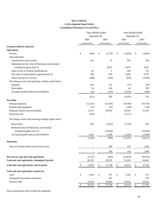### **Shore Gold Inc. (A Development Stage Entity) Consolidated Statements of Cash Flows**

|                                                         | Three Months Ended                                                    |                |              | Nine Months Ended |             |                |                                                                       |           |
|---------------------------------------------------------|-----------------------------------------------------------------------|----------------|--------------|-------------------|-------------|----------------|-----------------------------------------------------------------------|-----------|
|                                                         |                                                                       | September 30,  |              |                   |             | September 30,  |                                                                       |           |
|                                                         |                                                                       | 2008           |              | 2007              |             | 2008           |                                                                       | 2007      |
|                                                         |                                                                       | (in thousands) |              | (in thousands)    |             | (in thousands) | (in thousands)                                                        |           |
| Cash provided by (used in):                             |                                                                       |                |              |                   |             |                |                                                                       |           |
| <b>Operations:</b>                                      |                                                                       |                |              |                   |             |                |                                                                       |           |
| Net loss                                                | $\mathbb{S}% _{t}\left( t\right) \equiv\mathbb{S}_{t}\left( t\right)$ | (848)          | \$           | (2,379)           | \$          | (5,838)        | $\mathbb{S}% _{t}\left( t\right) \equiv\mathbb{S}_{t}\left( t\right)$ | (4, 844)  |
| Non-cash items:                                         |                                                                       |                |              |                   |             |                |                                                                       |           |
| Amortization and accretion                              |                                                                       | 156            |              | 79                |             | 395            |                                                                       | 226       |
| Impairment in fair value of third-party asset-backed    |                                                                       |                |              |                   |             |                |                                                                       |           |
| commercial paper (note 4)                               |                                                                       |                |              | 2,021             |             | 2,035          |                                                                       | 2,021     |
| Share of loss in Wescan Goldfields Inc.                 |                                                                       | 96             |              | 3                 |             | 206            |                                                                       | 135       |
| Fair value of stock options expensed (note 7)           |                                                                       | 200            |              | 396               |             | 2,668          |                                                                       | 4,792     |
| Future income tax recovery                              |                                                                       | (240)          |              | (169)             |             | (854)          |                                                                       | (2,059)   |
| Net change in non-cash operating working capital items: |                                                                       |                |              |                   |             |                |                                                                       |           |
| Prepaids                                                |                                                                       | 163            |              | 122               |             | (71)           |                                                                       | (53)      |
| Receivables                                             |                                                                       | 24             |              | 269               |             | 44             |                                                                       | 702       |
| Accounts payable and accrued liabilities                |                                                                       | (22)           |              | (116)             |             | (1,072)        |                                                                       | (604)     |
|                                                         |                                                                       | (471)          |              | 226               |             | (2,487)        |                                                                       | 316       |
| <b>Investing:</b>                                       |                                                                       |                |              |                   |             |                |                                                                       |           |
| Mineral properties                                      |                                                                       | (12, 811)      |              | (23,169)          |             | (36,949)       |                                                                       | (49, 756) |
| Property and equipment                                  |                                                                       | (17)           |              | (30)              |             | (130)          |                                                                       | (110)     |
| Disposal of short-term investments                      |                                                                       | 8,741          |              | 39,816            |             | 28,164         |                                                                       | 32,703    |
| Restricted cash                                         |                                                                       | (562)          |              |                   |             | (1, 411)       |                                                                       |           |
| Net change in non-cash investing working capital items: |                                                                       |                |              |                   |             |                |                                                                       |           |
| Receivables                                             |                                                                       | 442            |              | (1,821)           |             | (1, 334)       |                                                                       | 554       |
| Reclassification of third party asset-backed            |                                                                       |                |              |                   |             |                |                                                                       |           |
| commercial paper (note 4)                               |                                                                       |                |              | (18,984)          |             |                |                                                                       | (18,984)  |
| Accounts payable and accrued liabilities                |                                                                       | 1,361          |              | 3,298             |             | (1,261)        |                                                                       | (3,038)   |
|                                                         |                                                                       | (2, 846)       |              | (890)             |             | (12, 921)      |                                                                       | (38, 631) |
| Financing:                                              |                                                                       |                |              |                   |             |                |                                                                       |           |
| Issue of common shares (net of issue costs)             |                                                                       |                |              | 240               |             | 530            |                                                                       | 1,400     |
|                                                         |                                                                       |                |              | 240               |             | 530            |                                                                       | 1,400     |
| Decrease in cash and cash equivalents                   |                                                                       | (3,317)        |              | (424)             |             | (14, 878)      |                                                                       | (36, 915) |
| Cash and cash equivalents, beginning of period          |                                                                       | 20,293         |              | 28,192            |             | 31,854         |                                                                       | 64,683    |
| Cash and cash equivalents, end of period                | \$                                                                    | 16,976         | \$           | 27,768            | \$          | 16,976         | \$                                                                    | 27,768    |
| Cash and cash equivalents consists of:                  |                                                                       |                |              |                   |             |                |                                                                       |           |
| Cash                                                    | $\mathbb{S}% _{t}\left( t\right) \equiv\mathbb{S}_{t}\left( t\right)$ | 1,360          | $\mathbb S$  | 551               | \$          | 1,360          | $\mathbb{S}% _{t}\left( t\right) \equiv\mathbb{S}_{t}\left( t\right)$ | 551       |
| Guaranteed investment certificates                      |                                                                       |                |              | 393               |             |                |                                                                       | 393       |
| Treasury bills                                          |                                                                       | 15,616         |              | 26,824            |             | 15,616         |                                                                       | 26,824    |
|                                                         | $\mathbb{S}% _{t}\left( t\right) \equiv\mathbb{S}_{t}\left( t\right)$ | 16,976         | $\mathbb{S}$ | 27,768            | $\mathbb S$ | 16,976         | \$                                                                    | 27,768    |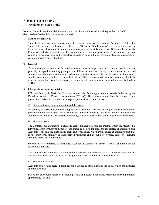# **SHORE GOLD INC.**

(A Development Stage Entity)

Notes to Consolidated Financial Statements (for the nine-month period ended September 30, 2008) (In thousands of Canadian dollars except as otherwise noted)

### **1. Nature of operations**

Shore Gold Inc. was incorporated under the Canada Business Corporations Act on April 29, 1985. Shore Gold Inc. and its subsidiaries (collectively, "Shore" or "the Company") are engaged primarily in the exploration, development, mining and sale of precious metals and gems. Substantially all of the Company's efforts are devoted to the exploration of its mineral properties. The Company has not earned significant revenue and is therefore considered to be in the development stage with respect to its current mineral property holdings.

### **2. General**

These unaudited consolidated financial statements have been prepared in accordance with Canadian generally accepted accounting principles and follow the same accounting principles and methods of application as the most recent annual audited consolidated financial statements except for the recently adopted accounting standards as described below. These consolidated financial statements should be read in conjunction with the Company's annual audited consolidated financial statements filed on SEDAR.

### **3. Changes in accounting policies**

Effective January 1, 2008, the Company adopted the following accounting standards issued by the Canadian Institute of Chartered Accountants ("CICA"). These new standards have been adopted on a prospective basis with no restatement to prior period financial statements.

#### a) Financial instruments presentation and disclosure

On January 1, 2008, the Company adopted CICA handbook sections relating to financial instruments presentation and disclosure. These sections are intended to enhance the users' ability to evaluate the significance of financial instruments to an entity, related exposures and the management of these risks.

#### i) Financial assets

The Company has designated its cash and cash equivalents as held-for-trading, which are measured at fair value. Short-term investments are designated as held-to-maturity and are carried at amortized cost. Accounts receivable are classified as loans and receivables, which are measured at amortized cost. Due to the short-term maturity of short-term investments and accounts receivable, respective carrying amounts approximate fair value.

Investments are comprised of third-party asset-backed commercial paper ("ABCP") and are classified as available-for-sale.

The Company has not entered into any hedging relationships and does not hold any other available-forsale securities that would result in the recognition of other comprehensive income or loss.

#### ii) Financial liabilities

Accounts payable and accrued liabilities are classified as other financial liabilities, which are measured at amortized cost.

Due to the short-term nature of accounts payable and accrued liabilities, respective carrying amounts approximate fair value.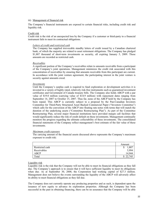#### iii) Management of financial risk

The Company's financial instruments are exposed to certain financial risks, including credit risk and liquidity risk.

#### Credit risk

Credit risk is the risk of an unexpected loss by the Company if a customer or third-party to a financial instrument fails to meet its contractual obligations.

### *Letters of credit and restricted cash*

The Company has supplied irrevocable standby letters of credit issued by a Canadian chartered bank, of which the majority are related to asset retirement obligations. The Company has pledged \$1,807 thousand of short-term investments as security, all expiring January 5, 2009. These amounts are recorded as restricted cash.

#### *Receivables*

A significant portion of the Company's receivables relate to amounts receivable from a participant of the Company's joint operations. Management minimizes the credit risk associated with this concentration of receivables by ensuring that amounts receivable from this participant are current. In accordance with the joint venture agreement, the participating interest in the joint venture is security against amounts owed.

#### *Investments*

Until the Company's surplus cash is required to fund exploration or development activities it is invested in a variety of highly rated, relatively risk-free instruments such as guaranteed investment certificates and Government of Canada treasury bills. The Company also holds ABCP with a par value of \$19.0 million (carrying value of \$14.9 million) with repayment dates ranging from September 14, 2007 to October 15, 2007. Thus far, none of the ABCP held by the Company has been repaid. This ABCP is currently subject to a proposal by the Pan-Canadian Investors Committee for Third-Party Structured Asset Backed Commercial Paper ("Investors Committee") which calls for the conversion of the ABCP into floating rate notes with terms that will match the duration of the underlying assets ("Committee Restructuring Plan"). As part of the Committee Restructuring Plan, several major financial institutions have provided margin call facilities that would significantly reduce the risk of credit default on these investments. Management continually monitors the progress regarding the ultimate collectability of these investments. The consolidated financial statements of the Company reflect management's best estimate of the fair value of these investments.

#### *Maximum credit exposure*

The carrying amount of the financial assets discussed above represents the Company's maximum exposure to credit risk:

|                 | Amount       |
|-----------------|--------------|
| Restricted cash | 1,00/<br>Φ   |
| Receivables     | 5,994        |
| <b>ABCP</b>     | 14,944       |
| Total           | \$<br>22,745 |

### Liquidity risk

Liquidity risk is the risk that the Company will not be able to meet its financial obligations as they fall due. The Company's approach is to ensure that it will have sufficient liquidity to meet its obligations when due. As at September 30, 2008, the Corporation had working capital of \$27.3 million. Management does not believe the events surrounding the liquidity of the ABCP will adversely affect its ability to meet financial obligations as they fall due.

The Company does not currently operate any producing properties and as such, is dependent upon the issuance of new equity to advance its exploration properties. Although the Company has been successful in the past in obtaining financing, there can be no assurance that the Company will be able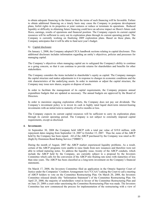to obtain adequate financing in the future or that the terms of such financing will be favorable. Failure to obtain additional financing on a timely basis may cause the Company to postpone development plans, forfeit rights in its properties or joint ventures or reduce or terminate its operations. Reduced liquidity or difficulty in obtaining future financing could have an adverse impact on Shore's future cash flows, earnings, results of operations and financial position. The Company expects its current capital resources will be sufficient to carry out its exploration plans through its current operating period. The Company is currently working on finalizing 2009 exploration plans. Based on these plans, the Company anticipates that it will be able to fund next year's budget.

### b) Capital disclosure

On January 1, 2008, the Company adopted CICA handbook sections relating to capital disclosure. This additional disclosure includes information regarding an entity's objectives, policies and processes for managing capital.

The Company's objectives when managing capital are to safeguard the Company's ability to continue as a going concern, so that it can continue to provide returns for shareholders and benefits for other stakeholders.

The Company considers the items included in shareholder's equity as capital. The Company manages the capital structure and makes adjustments to it in response to changes in economic conditions and the risk characteristics of the underlying assets. In order to maintain or adjust the capital structure, the Company may issue new shares, acquire or dispose of assets.

In order to facilitate the management of its capital requirements, the Company prepares annual expenditure budgets that are updated as necessary. The annual budgets are approved by the Board of **Directors** 

In order to maximize ongoing exploration efforts, the Company does not pay out dividends. The Company's investment policy is to invest its cash in highly rated liquid short-term interest-bearing investments with an initial term to maturity of twelve months or less.

The Company expects its current capital resources will be sufficient to carry its exploration plans through its current operating period. The Company is not subject to externally imposed capital requirements, except as disclosed.

### **4. Investments**

At September 30, 2008 the Company held ABCP with a total par value of \$19.0 million, with repayment dates ranging from September 14, 2007 to October 15, 2007. Thus far, none of the ABCP held by the Company has been repaid. All of the ABCP purchased by the Company was rated as R1 (high) by Dominion Bond Rating Service ("DBRS").

During the month of August, 2007 the ABCP market experienced liquidity problems. As a result, certain of the ABCP programs were unable to raise funds from new issuances and therefore were not able to refund maturing notes. To address the liquidity issue, twenty of the ABCP conduits, which include the ABCP held by the Company, are currently subject to a proposal by the Investors Committee which calls for the conversion of the ABCP into floating rate notes with maturities of less than nine years. The ABCP has been classified as a long-term investment on the Company's financial statements.

On March 17, 2008, the Investors Committee filed an application in the Ontario Superior Court of Justice under the Companies' Creditors Arrangement Act ("CCAA") asking the Court to call a meeting of ABCP holders to vote on the Committee Restructuring Plan. On March 20, 2008, the Investors Committee released details (the "Information Statement") of the Committee Restructuring Plan. On April 25, 2008, the majority of noteholders voted in favour of the Committee Restructuring Plan and on June 25, 2008 a court order sanctioning the Committee Restructuring Plan was made. The Investors Committee has now commenced the process for implementation of the restructuring with a view of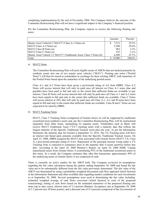completing implementation by the end of November 2008. The Company believes the outcome of the Committee Restructuring Plan will not have a significant impact to the Company's financial position.

|                                                                      | Amount   | Percent |
|----------------------------------------------------------------------|----------|---------|
| Master Asset Vehicle2 ("MAV2") Class A-1 Notes (a)                   | 7,513    | 39.5%   |
| MAV2 Class A-2 Notes (a)                                             | 5,590    | 29.4%   |
| MAV2 Class B Notes (a)                                               | 962      | $5.3\%$ |
| MAV2 Class C Notes (a)                                               | 435      | $2.1\%$ |
| Master Asset Vehicle 3 ("MAV3") Traditional Asset, Class 5 Notes (b) | 4.500    | 23.7%   |
| Total                                                                | \$19,000 | 100.0%  |

Per the Committee Restructuring Plan, the Company expects to receive the following floating rate notes:

#### a) MAV2 Notes

The Committee Restructuring Plan will pool eligible assets of ABCPs that are backed primarily by synthetic assets into one of two master asset vehicles ("MAV"). Floating rate notes ("Pooled Notes") will then be issued to noteholders in exchange for their existing ABCP, with maturities of the Pooled Notes based upon the maturities of the underlying pooled assets.

Class A-1 and A-2 Notes have been given a provisional rating of AA from DBRS. Class A-2 Notes will accrue interest that will only be paid once all interest on Class A-1 notes (due and payable) have been paid in full and only to the extent that sufficient funds are available to pay interest. Class B Notes will accrue interest that will only be paid once all Class A-1 and A-2 notes have been repaid in full and only to the extent that sufficient funds are available. Class C Notes will accrue interest at 20% that will only be paid once all Class A-1, A-2 and B notes have been repaid in full and only to the extent that sufficient funds are available. Class B and C Notes are not expected to be rated by DBRS.

#### b) MAV3 Tracking Notes

MAV3, Class 5 Tracking Notes (comprised of Gemini Series A) will be supported by traditional securitized (non-synthetic) assets and, per the Committee Restructuring Plan, will be restructured separately from other trusts, maintaining its separate assets. Noteholders such as Shore will receive MAV3 Traditional Asset ("TA") tracking notes with a maturity date that reflects the longest maturity of the Specific Traditional Tracked Asset plus one year. As per the Information Statement, the maturity date for Gemini is September 12, 2016. The TA Tracking notes will have an interest rate based upon amounts available from the Specific Traditional Tracked Assets. On April 23, 2008, DBRS assigned the MAV3 note associated with Gemini Series (MAV3 TA, Class 5) a provisional principal rating of AAA. Repayment of the principal amount owing under a TA Tracking Note is expected to commence prior to the maturity date if assets amortize before this date. According to the April 18, 2008 Monitor's Report, on April 16, 2008 HSBC Canada repurchased assets from Gemini Series A (constituting 93% of the traditional securitized assets in this trust). As a result, the Company estimates that, after this transaction, approximately 99% of the underlying assets in Gemini Series A are comprised of cash.

There is currently no active market for the ABCP held. The Company reviewed its assumptions regarding the fair value calculation during the quarter ending September 30, 2008 and found the fair value not to be substantially different from the fair value previously determined. The fair value of the ABCP was determined by using a probability-weighted discounted cash flow approach which factored in the Information Statement and other available data regarding market conditions for such investments as at September 30, 2008. Several assumptions were used in determining the fair value including: estimated weighted average of cash flows recovered (which factored in costs of the proposed restructuring), timing of cash flows based on the estimated maturities of the proposed floating rate notes (up to nine years), interest rates of 3.2 percent (Bankers Acceptance rate at September 30, 2008 of 3.7 percent less 50 basis points), and a discount rate of 6.5 percent (comprised of the Government of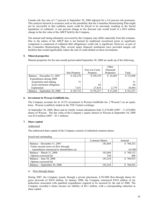Canada risk free rate of 1.7 percent at September 30, 2008 adjusted for a 4.8 percent risk premium). This analysis factored in scenarios such as the possibility that the Committee Restructuring Plan might not be successful or that synthetic assets could be forced to be unwound, resulting in the forced liquidation of collateral. A one percent change in the discount rate would result in a \$0.8 million change in the fair value of the ABCP held by the Company.

The amount and timing ultimately recovered by the Company may differ materially from this estimate. Due to the nature of the ABCP that is not backed by traditional securitized assets (a significant component is comprised of collateral debt obligations), credit risk is significant. However, as part of the Committee Restructuring Plan, several major financial institutions have provided margin call facilities that would significantly reduce the risk of credit default on these investments.

### **5. Mineral properties**

Mineral properties for the nine-month period ended September 30, 2008 are made up of the following:

|                              |                      |                 | Other      |           |
|------------------------------|----------------------|-----------------|------------|-----------|
|                              |                      | Fort à la Corne | Diamond    |           |
|                              | <b>Star Property</b> | Property        | Properties | Total     |
| Balance – December 31, 2007  | \$162,270            | \$550,359       | \$10,469   | \$723,098 |
| Expenditures during 2008     |                      |                 |            |           |
| Acquisition and staking      | 51                   |                 |            | 51        |
| Asset retirement obligation  |                      | 64              |            | 64        |
| Exploration                  | 7.431                | 27,834          | 2.779      | 38,044    |
| Balance – September 30, 2008 | \$169,752            | \$578,257       | \$13,248   | \$761,257 |

### **6. Investment in Wescan Goldfields Inc.**

The Company accounts for its 18.2% investment in Wescan Goldfields Inc. ("Wescan") on an equity basis. Wescan is publicly traded on the TSX Venture exchange.

At September 30, 2008, Shore and its wholly owned subsidiaries held 11,474,086 (2007 – 11,474,086) shares of Wescan. The fair value of the Company's equity interest in Wescan at September 30, 2008 was \$3.0 million (2007 – \$3.1 million).

### **7. Share capital**

### Authorized

The authorized share capital of the Company consists of unlimited common shares.

|                                            | <b>Common Shares</b>         | Amount    |
|--------------------------------------------|------------------------------|-----------|
| Balance – December 31, 2007                | 182,684                      | \$768,252 |
| Future income taxes on flow-through        |                              |           |
| expenditures renounced to shareholders (a) | $\qquad \qquad \blacksquare$ | (8,100)   |
| Balance – March 31, 2008                   | 182,684                      | \$760,152 |
| Options exercised (b)                      | 550                          | 800       |
| Balance – June 30, 2008                    | 183,234                      | \$760,952 |
| Options exercised (b)                      | $\overline{\phantom{0}}$     |           |
| Balance – September 30, 2008               | 183,234                      | 760,952   |

### a) Flow-through shares

During 2007, the Company issued, through a private placement, 4,762,000 flow-through shares for gross proceeds of \$30.0 million. In January 2008, the Company renounced \$30.0 million of tax deductions associated with qualified expenditures required to be incurred by the end of 2008. The Company recorded a future income tax liability of \$8.1 million, with a corresponding reduction in share capital.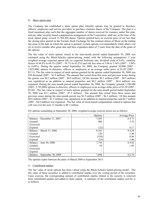#### b) Share option plan

The Company has established a share option plan whereby options may be granted to directors, officers, employees and service providers to purchase common shares of the Company. The plan is a fixed maximum plan such that the aggregate number of shares reserved for issuance under this plan, and any other security based compensation arrangement of the Corporation, shall not, at the time of the stock option grant, exceed 15,768,360 shares. Options granted have an exercise price of not less than the closing price quoted on the Toronto Stock Exchange for the common shares of Shore on the trading day prior to the date on which the option is granted. Certain options vest immediately while others vest six to twelve months after grant date and have expiration dates of 5 years from the date of the grant of the options.

The fair value of stock options issued in the nine-month period ended September 30, 2008 was estimated using the Black-Scholes option-pricing model with the following assumptions: 5 year weighted average expected option life, no expected forfeiture rate, dividend yield of 0.0%, volatility factors of 64.9% to 66.2% (2007 – 56.7% to 62.2%) and risk free rates of 3.06 to 3.34% (2007 – 3.94% to  $4.68\%$ ). During the quarter ended September 30, 2008, the Company granted  $50,000$  (2007 – 1,025,000) options to directors, officers or employees at an average strike price of \$1.05 (2007 – \$3.11). The fair value in respect of stock options granted for the quarter ended September 30, 2008 was \$30 thousand (2007 – \$1.8 million). The amount that vested from this issue and previous issues during the quarter was \$0.3 million  $(2007 - $0.9$  million). Of this amount, \$0.1 million  $(2007 - $0.5$  million) was capitalized as an addition to mineral properties and  $$0.2$  million (2007 –  $$0.4$  million) was expensed. During the nine-month period ended September 30, 2008, the Company granted 1,100,000 (2007- 2,795,000) options to directors, officers or employees at an average strike price of \$3.39 (2007 - \$5.04). The fair value in respect of stock options granted for the nine-month period ended September 30, 2008 was \$2.1 million (2007 - \$7.5 million). The amount that vested from these issues and previous issues during the nine-month period was \$3.5 million (2007 - \$6.3 million). Of this amount \$0.8 million (2007 - \$1.5 million) was capitalized as an addition to mineral properties and \$2.7 million (2007 - \$4.8 million) was expensed. The fair value of stock-based compensation related to options that will vest over the next 12 months is \$0.1 million.

|                              | Options | Average Price |
|------------------------------|---------|---------------|
| Balance – December 31, 2007  | 7,303   | \$4.71        |
| Granted                      | 900     | 3.52          |
| Exercised                    |         |               |
| Expired                      | (22)    | 6.17          |
| Balance – March 31, 2008     | 8,181   | \$4.58        |
| Granted                      | 150     | 3.40          |
| Exercised                    | (550)   | 0.96          |
| Expired                      | (25)    | 3.00          |
| Balance – June 30, 2008      | 7,756   | \$4.82        |
| Granted                      | 50      | 1.05          |
| Exercised                    |         |               |
| Expired                      |         |               |
| Balance – September 30, 2008 | 7,806   | \$4.79        |

For options outstanding at September 30, 2008, weighted average exercise prices are as follows:

The options expire between the dates of March 2009 to September 2013.

### c) Contributed surplus

The fair value of stock options has been valued using the Black-Scholes option-pricing model. The fair value of these securities is added to contributed surplus over the vesting period of the securities. Upon exercise, the corresponding amount of contributed surplus related to the security is removed from contributed surplus and added to share capital. A summary of the contributed surplus activity is as follows: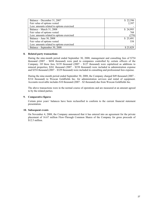| Balance – December 31, 2007                | \$22,596 |
|--------------------------------------------|----------|
| Fair value of options vested               | 2,397    |
| Less: amounts related to options exercised |          |
| Balance - March 31, 2008                   | \$24,993 |
| Fair value of options vested               | 768      |
| Less: amounts related to options exercised | (270)    |
| Balance – June 30, 2008                    | \$25,491 |
| Fair value of options vested               | 338      |
| Less: amounts related to options exercised |          |
| Balance – September 30, 2008               | \$25,829 |

### **8. Related party transactions**

During the nine-month period ended September 30, 2008, management and consulting fees of \$754 thousand (2007 – \$694 thousand) were paid to companies controlled by certain officers of the Company. Of these fees, \$139 thousand (2007 – \$127 thousand) were capitalized as additions to mineral properties; \$261 thousand (2007 – \$238 thousand) were included in administration expense and \$354 thousand (2007 – \$329 thousand) were included in consulting and professional fees expense.

During the nine-month period ended September 30, 2008, the Company charged \$49 thousand (2007 – \$314 thousand) to Wescan Goldfields Inc. for administration services and rental of equipment. Accounts receivable includes \$10 thousand (2007 – \$2 thousand) due from Wescan Goldfields Inc.

The above transactions were in the normal course of operations and are measured at an amount agreed to by the related parties.

### **9. Comparative figures**

Certain prior years' balances have been reclassified to conform to the current financial statement presentation.

#### **10. Subsequent events**

On November 4, 2008, the Company announced that it has entered into an agreement for the private placement of 16.67 million Flow-Through Common Shares of the Company for gross proceeds of \$12.5 million.